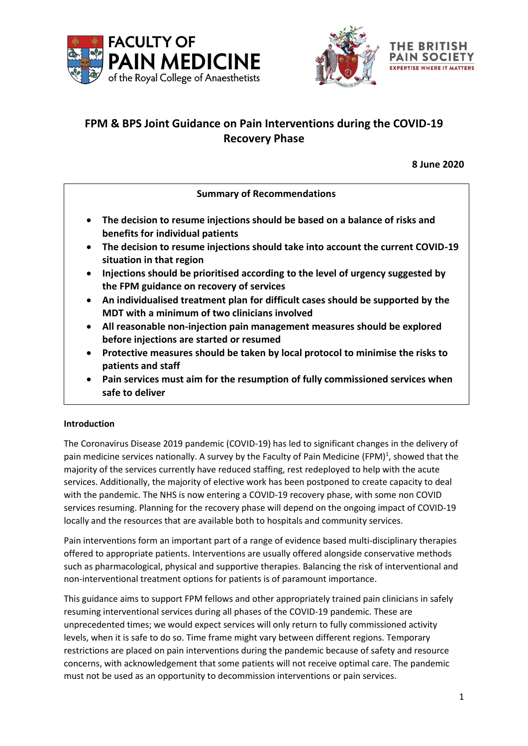





# **FPM & BPS Joint Guidance on Pain Interventions during the COVID-19 Recovery Phase**

**8 June 2020**

**Summary of Recommendations**

- **The decision to resume injections should be based on a balance of risks and benefits for individual patients**
- **The decision to resume injections should take into account the current COVID-19 situation in that region**
- **Injections should be prioritised according to the level of urgency suggested by the FPM guidance on recovery of services**
- **An individualised treatment plan for difficult cases should be supported by the MDT with a minimum of two clinicians involved**
- **All reasonable non-injection pain management measures should be explored before injections are started or resumed**
- **Protective measures should be taken by local protocol to minimise the risks to patients and staff**
- **Pain services must aim for the resumption of fully commissioned services when safe to deliver**

#### **Introduction**

The Coronavirus Disease 2019 pandemic (COVID-19) has led to significant changes in the delivery of pain medicine services nationally. A survey by the Faculty of Pain Medicine (FPM)<sup>1</sup>, showed that the majority of the services currently have reduced staffing, rest redeployed to help with the acute services. Additionally, the majority of elective work has been postponed to create capacity to deal with the pandemic. The NHS is now entering a COVID-19 recovery phase, with some non COVID services resuming. Planning for the recovery phase will depend on the ongoing impact of COVID-19 locally and the resources that are available both to hospitals and community services.

Pain interventions form an important part of a range of evidence based multi-disciplinary therapies offered to appropriate patients. Interventions are usually offered alongside conservative methods such as pharmacological, physical and supportive therapies. Balancing the risk of interventional and non-interventional treatment options for patients is of paramount importance.

This guidance aims to support FPM fellows and other appropriately trained pain clinicians in safely resuming interventional services during all phases of the COVID-19 pandemic. These are unprecedented times; we would expect services will only return to fully commissioned activity levels, when it is safe to do so. Time frame might vary between different regions. Temporary restrictions are placed on pain interventions during the pandemic because of safety and resource concerns, with acknowledgement that some patients will not receive optimal care. The pandemic must not be used as an opportunity to decommission interventions or pain services.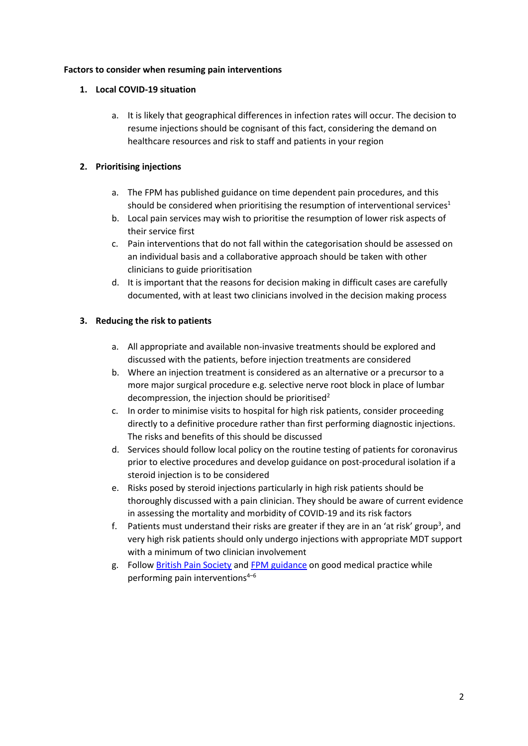#### **Factors to consider when resuming pain interventions**

#### **1. Local COVID-19 situation**

a. It is likely that geographical differences in infection rates will occur. The decision to resume injections should be cognisant of this fact, considering the demand on healthcare resources and risk to staff and patients in your region

#### **2. Prioritising injections**

- a. The FPM has published guidance on time dependent pain procedures, and this should be considered when prioritising the resumption of interventional services<sup>1</sup>
- b. Local pain services may wish to prioritise the resumption of lower risk aspects of their service first
- c. Pain interventions that do not fall within the categorisation should be assessed on an individual basis and a collaborative approach should be taken with other clinicians to guide prioritisation
- d. It is important that the reasons for decision making in difficult cases are carefully documented, with at least two clinicians involved in the decision making process

## **3. Reducing the risk to patients**

- a. All appropriate and available non-invasive treatments should be explored and discussed with the patients, before injection treatments are considered
- b. Where an injection treatment is considered as an alternative or a precursor to a more major surgical procedure e.g. selective nerve root block in place of lumbar decompression, the injection should be prioritised<sup>2</sup>
- c. In order to minimise visits to hospital for high risk patients, consider proceeding directly to a definitive procedure rather than first performing diagnostic injections. The risks and benefits of this should be discussed
- d. Services should follow local policy on the routine testing of patients for coronavirus prior to elective procedures and develop guidance on post-procedural isolation if a steroid injection is to be considered
- e. Risks posed by steroid injections particularly in high risk patients should be thoroughly discussed with a pain clinician. They should be aware of current evidence in assessing the mortality and morbidity of COVID-19 and its risk factors
- f. Patients must understand their risks are greater if they are in an 'at risk' group<sup>3</sup>, and very high risk patients should only undergo injections with appropriate MDT support with a minimum of two clinician involvement
- g. Follow **British Pain Society and [FPM guidance](https://fpm.ac.uk/standards-publications-workforce-guidelines-publications/clinical-guidelines)** on good medical practice while performing pain interventions<sup>4-6</sup>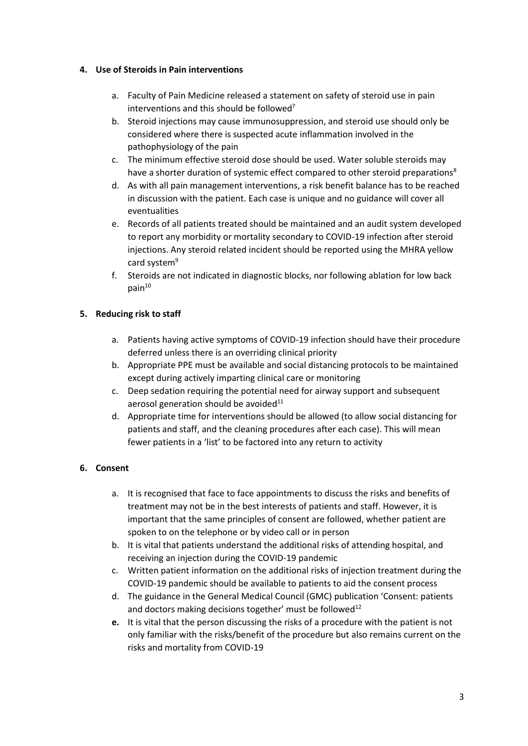#### **4. Use of Steroids in Pain interventions**

- a. Faculty of Pain Medicine released a statement on safety of steroid use in pain interventions and this should be followed<sup>7</sup>
- b. Steroid injections may cause immunosuppression, and steroid use should only be considered where there is suspected acute inflammation involved in the pathophysiology of the pain
- c. The minimum effective steroid dose should be used. Water soluble steroids may have a shorter duration of systemic effect compared to other steroid preparations<sup>8</sup>
- d. As with all pain management interventions, a risk benefit balance has to be reached in discussion with the patient. Each case is unique and no guidance will cover all eventualities
- e. Records of all patients treated should be maintained and an audit system developed to report any morbidity or mortality secondary to COVID-19 infection after steroid injections. Any steroid related incident should be reported using the MHRA yellow card system<sup>9</sup>
- f. Steroids are not indicated in diagnostic blocks, nor following ablation for low back pain<sup>10</sup>

## **5. Reducing risk to staff**

- a. Patients having active symptoms of COVID-19 infection should have their procedure deferred unless there is an overriding clinical priority
- b. Appropriate PPE must be available and social distancing protocols to be maintained except during actively imparting clinical care or monitoring
- c. Deep sedation requiring the potential need for airway support and subsequent aerosol generation should be avoided<sup>11</sup>
- d. Appropriate time for interventions should be allowed (to allow social distancing for patients and staff, and the cleaning procedures after each case). This will mean fewer patients in a 'list' to be factored into any return to activity

#### **6. Consent**

- a. It is recognised that face to face appointments to discuss the risks and benefits of treatment may not be in the best interests of patients and staff. However, it is important that the same principles of consent are followed, whether patient are spoken to on the telephone or by video call or in person
- b. It is vital that patients understand the additional risks of attending hospital, and receiving an injection during the COVID-19 pandemic
- c. Written patient information on the additional risks of injection treatment during the COVID-19 pandemic should be available to patients to aid the consent process
- d. The guidance in the General Medical Council (GMC) publication 'Consent: patients and doctors making decisions together' must be followed<sup>12</sup>
- **e.** It is vital that the person discussing the risks of a procedure with the patient is not only familiar with the risks/benefit of the procedure but also remains current on the risks and mortality from COVID-19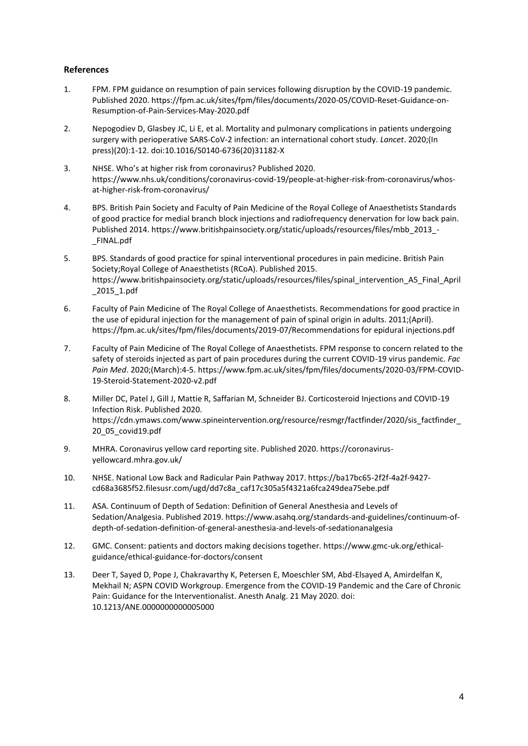#### **References**

- 1. FPM. FPM guidance on resumption of pain services following disruption by the COVID-19 pandemic. Published 2020. https://fpm.ac.uk/sites/fpm/files/documents/2020-05/COVID-Reset-Guidance-on-Resumption-of-Pain-Services-May-2020.pdf
- 2. Nepogodiev D, Glasbey JC, Li E, et al. Mortality and pulmonary complications in patients undergoing surgery with perioperative SARS-CoV-2 infection: an international cohort study. *Lancet*. 2020;(In press)(20):1-12. doi:10.1016/S0140-6736(20)31182-X
- 3. NHSE. Who's at higher risk from coronavirus? Published 2020. https://www.nhs.uk/conditions/coronavirus-covid-19/people-at-higher-risk-from-coronavirus/whosat-higher-risk-from-coronavirus/
- 4. BPS. British Pain Society and Faculty of Pain Medicine of the Royal College of Anaesthetists Standards of good practice for medial branch block injections and radiofrequency denervation for low back pain. Published 2014. https://www.britishpainsociety.org/static/uploads/resources/files/mbb\_2013\_- \_FINAL.pdf
- 5. BPS. Standards of good practice for spinal interventional procedures in pain medicine. British Pain Society;Royal College of Anaesthetists (RCoA). Published 2015. https://www.britishpainsociety.org/static/uploads/resources/files/spinal\_intervention\_A5\_Final\_April \_2015\_1.pdf
- 6. Faculty of Pain Medicine of The Royal College of Anaesthetists. Recommendations for good practice in the use of epidural injection for the management of pain of spinal origin in adults. 2011;(April). https://fpm.ac.uk/sites/fpm/files/documents/2019-07/Recommendations for epidural injections.pdf
- 7. Faculty of Pain Medicine of The Royal College of Anaesthetists. FPM response to concern related to the safety of steroids injected as part of pain procedures during the current COVID-19 virus pandemic. *Fac Pain Med*. 2020;(March):4-5. https://www.fpm.ac.uk/sites/fpm/files/documents/2020-03/FPM-COVID-19-Steroid-Statement-2020-v2.pdf
- 8. Miller DC, Patel J, Gill J, Mattie R, Saffarian M, Schneider BJ. Corticosteroid Injections and COVID-19 Infection Risk. Published 2020. https://cdn.ymaws.com/www.spineintervention.org/resource/resmgr/factfinder/2020/sis\_factfinder 20\_05\_covid19.pdf
- 9. MHRA. Coronavirus yellow card reporting site. Published 2020. https://coronavirusyellowcard.mhra.gov.uk/
- 10. NHSE. National Low Back and Radicular Pain Pathway 2017. https://ba17bc65-2f2f-4a2f-9427 cd68a3685f52.filesusr.com/ugd/dd7c8a\_caf17c305a5f4321a6fca249dea75ebe.pdf
- 11. ASA. Continuum of Depth of Sedation: Definition of General Anesthesia and Levels of Sedation/Analgesia. Published 2019. https://www.asahq.org/standards-and-guidelines/continuum-ofdepth-of-sedation-definition-of-general-anesthesia-and-levels-of-sedationanalgesia
- 12. GMC. Consent: patients and doctors making decisions together. https://www.gmc-uk.org/ethicalguidance/ethical-guidance-for-doctors/consent
- 13. Deer T, Sayed D, Pope J, Chakravarthy K, Petersen E, Moeschler SM, Abd-Elsayed A, Amirdelfan K, Mekhail N; ASPN COVID Workgroup. Emergence from the COVID-19 Pandemic and the Care of Chronic Pain: Guidance for the Interventionalist. Anesth Analg. 21 May 2020. doi: 10.1213/ANE.0000000000005000